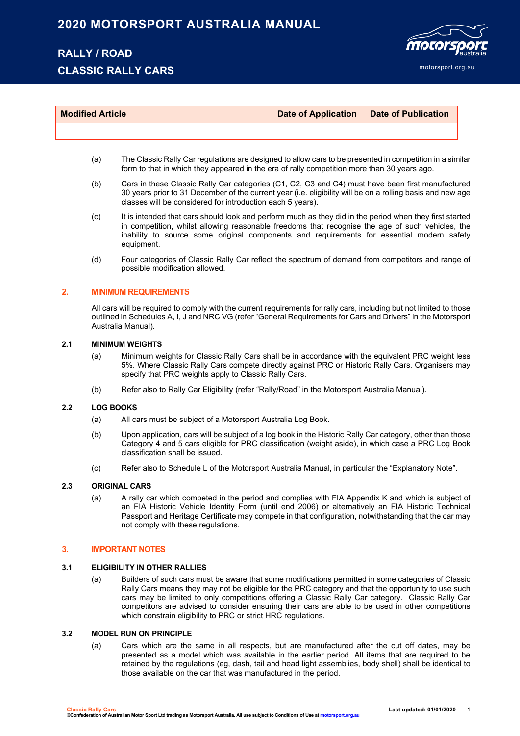## **2020 MOTORSPORT AUSTRALIA MANUAL**

## **RALLY / ROAD**

## **CLASSIC RALLY CARS**



| <b>Modified Article</b> | Date of Application   Date of Publication |  |  |
|-------------------------|-------------------------------------------|--|--|
|                         |                                           |  |  |

- (a) The Classic Rally Car regulations are designed to allow cars to be presented in competition in a similar form to that in which they appeared in the era of rally competition more than 30 years ago.
- (b) Cars in these Classic Rally Car categories (C1, C2, C3 and C4) must have been first manufactured 30 years prior to 31 December of the current year (i.e. eligibility will be on a rolling basis and new age classes will be considered for introduction each 5 years).
- (c) It is intended that cars should look and perform much as they did in the period when they first started in competition, whilst allowing reasonable freedoms that recognise the age of such vehicles, the inability to source some original components and requirements for essential modern safety equipment.
- (d) Four categories of Classic Rally Car reflect the spectrum of demand from competitors and range of possible modification allowed.

#### **2. MINIMUM REQUIREMENTS**

All cars will be required to comply with the current requirements for rally cars, including but not limited to those outlined in Schedules A, I, J and NRC VG (refer "General Requirements for Cars and Drivers" in the Motorsport Australia Manual).

#### **2.1 MINIMUM WEIGHTS**

- (a) Minimum weights for Classic Rally Cars shall be in accordance with the equivalent PRC weight less 5%. Where Classic Rally Cars compete directly against PRC or Historic Rally Cars, Organisers may specify that PRC weights apply to Classic Rally Cars.
- (b) Refer also to Rally Car Eligibility (refer "Rally/Road" in the Motorsport Australia Manual).

#### **2.2 LOG BOOKS**

- (a) All cars must be subject of a Motorsport Australia Log Book.
- (b) Upon application, cars will be subject of a log book in the Historic Rally Car category, other than those Category 4 and 5 cars eligible for PRC classification (weight aside), in which case a PRC Log Book classification shall be issued.
- (c) Refer also to Schedule L of the Motorsport Australia Manual, in particular the "Explanatory Note".

#### **2.3 ORIGINAL CARS**

(a) A rally car which competed in the period and complies with FIA Appendix K and which is subject of an FIA Historic Vehicle Identity Form (until end 2006) or alternatively an FIA Historic Technical Passport and Heritage Certificate may compete in that configuration, notwithstanding that the car may not comply with these regulations.

#### **3. IMPORTANT NOTES**

#### **3.1 ELIGIBILITY IN OTHER RALLIES**

(a) Builders of such cars must be aware that some modifications permitted in some categories of Classic Rally Cars means they may not be eligible for the PRC category and that the opportunity to use such cars may be limited to only competitions offering a Classic Rally Car category. Classic Rally Car competitors are advised to consider ensuring their cars are able to be used in other competitions which constrain eligibility to PRC or strict HRC regulations.

#### **3.2 MODEL RUN ON PRINCIPLE**

(a) Cars which are the same in all respects, but are manufactured after the cut off dates, may be presented as a model which was available in the earlier period. All items that are required to be retained by the regulations (eg, dash, tail and head light assemblies, body shell) shall be identical to those available on the car that was manufactured in the period.

**Classic Rally Cars Last updated: 01/01/2020** 1 **©Confederation of Australian Motor Sport Ltd trading as Motorsport Australia. All use subject to Conditions of Use a[t motorsport.org.au](http://www.motorsport.org.au/)**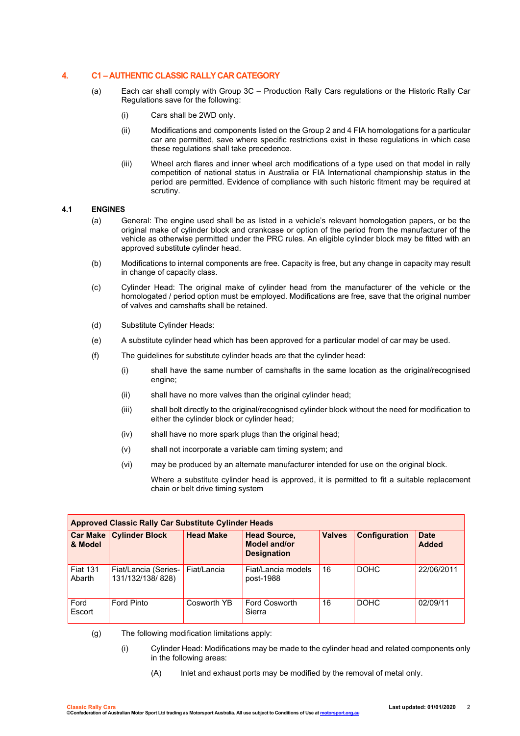#### **4. C1 – AUTHENTIC CLASSIC RALLY CAR CATEGORY**

- (a) Each car shall comply with Group 3C Production Rally Cars regulations or the Historic Rally Car Regulations save for the following:
	- (i) Cars shall be 2WD only.
	- (ii) Modifications and components listed on the Group 2 and 4 FIA homologations for a particular car are permitted, save where specific restrictions exist in these regulations in which case these regulations shall take precedence.
	- (iii) Wheel arch flares and inner wheel arch modifications of a type used on that model in rally competition of national status in Australia or FIA International championship status in the period are permitted. Evidence of compliance with such historic fitment may be required at scrutiny.

#### **4.1 ENGINES**

- (a) General: The engine used shall be as listed in a vehicle's relevant homologation papers, or be the original make of cylinder block and crankcase or option of the period from the manufacturer of the vehicle as otherwise permitted under the PRC rules. An eligible cylinder block may be fitted with an approved substitute cylinder head.
- (b) Modifications to internal components are free. Capacity is free, but any change in capacity may result in change of capacity class.
- (c) Cylinder Head: The original make of cylinder head from the manufacturer of the vehicle or the homologated / period option must be employed. Modifications are free, save that the original number of valves and camshafts shall be retained.
- (d) Substitute Cylinder Heads:
- (e) A substitute cylinder head which has been approved for a particular model of car may be used.
- (f) The guidelines for substitute cylinder heads are that the cylinder head:
	- (i) shall have the same number of camshafts in the same location as the original/recognised engine;
	- (ii) shall have no more valves than the original cylinder head;
	- (iii) shall bolt directly to the original/recognised cylinder block without the need for modification to either the cylinder block or cylinder head;
	- (iv) shall have no more spark plugs than the original head;
	- (v) shall not incorporate a variable cam timing system; and
	- (vi) may be produced by an alternate manufacturer intended for use on the original block.

Where a substitute cylinder head is approved, it is permitted to fit a suitable replacement chain or belt drive timing system

| <b>Approved Classic Rally Car Substitute Cylinder Heads</b> |                                          |                  |                                                                  |               |               |                             |  |  |
|-------------------------------------------------------------|------------------------------------------|------------------|------------------------------------------------------------------|---------------|---------------|-----------------------------|--|--|
| & Model                                                     | <b>Car Make   Cylinder Block</b>         | <b>Head Make</b> | <b>Head Source,</b><br><b>Model and/or</b><br><b>Designation</b> | <b>Valves</b> | Configuration | <b>Date</b><br><b>Added</b> |  |  |
| <b>Fiat 131</b><br>Abarth                                   | Fiat/Lancia (Series-<br>131/132/138/828) | Fiat/Lancia      | Fiat/Lancia models<br>post-1988                                  | 16            | <b>DOHC</b>   | 22/06/2011                  |  |  |
| Ford<br>Escort                                              | Ford Pinto                               | Cosworth YB      | Ford Cosworth<br>Sierra                                          | 16            | <b>DOHC</b>   | 02/09/11                    |  |  |

(g) The following modification limitations apply:

- (i) Cylinder Head: Modifications may be made to the cylinder head and related components only in the following areas:
	- (A) Inlet and exhaust ports may be modified by the removal of metal only.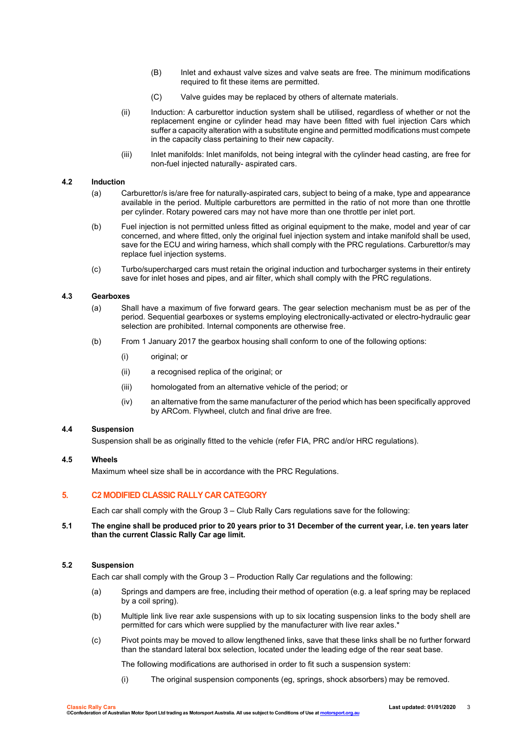- (B) Inlet and exhaust valve sizes and valve seats are free. The minimum modifications required to fit these items are permitted.
- (C) Valve guides may be replaced by others of alternate materials.
- (ii) Induction: A carburettor induction system shall be utilised, regardless of whether or not the replacement engine or cylinder head may have been fitted with fuel injection Cars which suffer a capacity alteration with a substitute engine and permitted modifications must compete in the capacity class pertaining to their new capacity.
- (iii) Inlet manifolds: Inlet manifolds, not being integral with the cylinder head casting, are free for non-fuel injected naturally- aspirated cars.

#### **4.2 Induction**

- (a) Carburettor/s is/are free for naturally-aspirated cars, subject to being of a make, type and appearance available in the period. Multiple carburettors are permitted in the ratio of not more than one throttle per cylinder. Rotary powered cars may not have more than one throttle per inlet port.
- (b) Fuel injection is not permitted unless fitted as original equipment to the make, model and year of car concerned, and where fitted, only the original fuel injection system and intake manifold shall be used, save for the ECU and wiring harness, which shall comply with the PRC regulations. Carburettor/s may replace fuel injection systems.
- (c) Turbo/supercharged cars must retain the original induction and turbocharger systems in their entirety save for inlet hoses and pipes, and air filter, which shall comply with the PRC regulations.

#### **4.3 Gearboxes**

- (a) Shall have a maximum of five forward gears. The gear selection mechanism must be as per of the period. Sequential gearboxes or systems employing electronically-activated or electro-hydraulic gear selection are prohibited. Internal components are otherwise free.
- (b) From 1 January 2017 the gearbox housing shall conform to one of the following options:
	- (i) original; or
	- (ii) a recognised replica of the original; or
	- (iii) homologated from an alternative vehicle of the period; or
	- (iv) an alternative from the same manufacturer of the period which has been specifically approved by ARCom. Flywheel, clutch and final drive are free.

#### **4.4 Suspension**

Suspension shall be as originally fitted to the vehicle (refer FIA, PRC and/or HRC regulations).

#### **4.5 Wheels**

Maximum wheel size shall be in accordance with the PRC Regulations.

#### **5. C2 MODIFIED CLASSIC RALLY CAR CATEGORY**

Each car shall comply with the Group 3 – Club Rally Cars regulations save for the following:

#### **5.1 The engine shall be produced prior to 20 years prior to 31 December of the current year, i.e. ten years later than the current Classic Rally Car age limit.**

#### **5.2 Suspension**

Each car shall comply with the Group 3 – Production Rally Car regulations and the following:

- (a) Springs and dampers are free, including their method of operation (e.g. a leaf spring may be replaced by a coil spring).
- (b) Multiple link live rear axle suspensions with up to six locating suspension links to the body shell are permitted for cars which were supplied by the manufacturer with live rear axles.\*
- (c) Pivot points may be moved to allow lengthened links, save that these links shall be no further forward than the standard lateral box selection, located under the leading edge of the rear seat base.

The following modifications are authorised in order to fit such a suspension system:

(i) The original suspension components (eg, springs, shock absorbers) may be removed.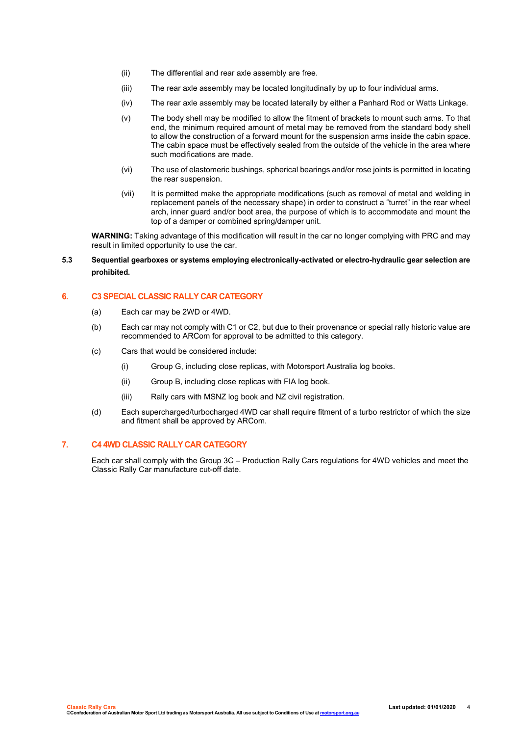- (ii) The differential and rear axle assembly are free.
- (iii) The rear axle assembly may be located longitudinally by up to four individual arms.
- (iv) The rear axle assembly may be located laterally by either a Panhard Rod or Watts Linkage.
- (v) The body shell may be modified to allow the fitment of brackets to mount such arms. To that end, the minimum required amount of metal may be removed from the standard body shell to allow the construction of a forward mount for the suspension arms inside the cabin space. The cabin space must be effectively sealed from the outside of the vehicle in the area where such modifications are made.
- (vi) The use of elastomeric bushings, spherical bearings and/or rose joints is permitted in locating the rear suspension.
- (vii) It is permitted make the appropriate modifications (such as removal of metal and welding in replacement panels of the necessary shape) in order to construct a "turret" in the rear wheel arch, inner guard and/or boot area, the purpose of which is to accommodate and mount the top of a damper or combined spring/damper unit.

**WARNING:** Taking advantage of this modification will result in the car no longer complying with PRC and may result in limited opportunity to use the car.

#### **5.3 Sequential gearboxes or systems employing electronically-activated or electro-hydraulic gear selection are prohibited.**

#### **6. C3 SPECIAL CLASSIC RALLY CAR CATEGORY**

- (a) Each car may be 2WD or 4WD.
- (b) Each car may not comply with C1 or C2, but due to their provenance or special rally historic value are recommended to ARCom for approval to be admitted to this category.
- (c) Cars that would be considered include:
	- (i) Group G, including close replicas, with Motorsport Australia log books.
	- (ii) Group B, including close replicas with FIA log book.
	- (iii) Rally cars with MSNZ log book and NZ civil registration.
- (d) Each supercharged/turbocharged 4WD car shall require fitment of a turbo restrictor of which the size and fitment shall be approved by ARCom.

#### **7. C4 4WD CLASSIC RALLY CAR CATEGORY**

Each car shall comply with the Group 3C – Production Rally Cars regulations for 4WD vehicles and meet the Classic Rally Car manufacture cut-off date.